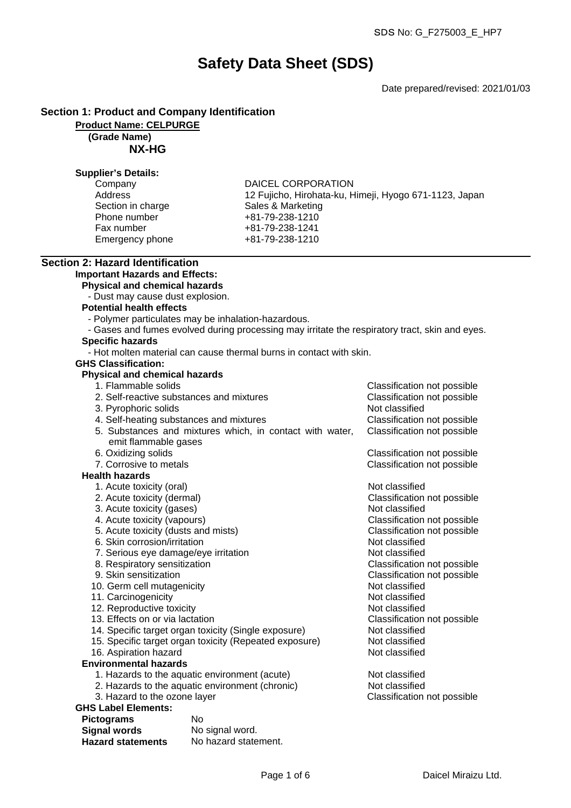# **Safety Data Sheet (SDS)**

Date prepared/revised: 2021/01/03

## **Section 1: Product and Company Identification**

#### **Product Name: CELPURGE**

**(Grade Name)**

**NX-HG**

## **Supplier's Details:**

| Company           |  |
|-------------------|--|
| <b>Address</b>    |  |
| Section in charge |  |
| Phone number      |  |
| Fax number        |  |
| Emergency phone   |  |

DAICEL CORPORATION 12 Fujicho, Hirohata-ku, Himeji, Hyogo 671-1123, Japan Sales & Marketing Phone number +81-79-238-1210 Fax number +81-79-238-1241 Emergency phone +81-79-238-1210

# **Section 2: Hazard Identification**

## **Important Hazards and Effects:**

- **Physical and chemical hazards**
- Dust may cause dust explosion.

#### **Potential health effects**

- Polymer particulates may be inhalation-hazardous.
- Gases and fumes evolved during processing may irritate the respiratory tract, skin and eyes.

## **Specific hazards**

- Hot molten material can cause thermal burns in contact with skin.

## **GHS Classification:**

## **Physical and chemical hazards**

- 1. Flammable solids Classification not possible
- 2. Self-reactive substances and mixtures Classification not possible 3. Pyrophoric solids Not classified 4. Self-heating substances and mixtures Classification not possible 5. Substances and mixtures which, in contact with water, emit flammable gases Classification not possible 6. Oxidizing solids Classification not possible 7. Corrosive to metals Classification not possible **Health hazards** 1. Acute toxicity (oral) and the contract of the Not classified 2. Acute toxicity (dermal) Classification not possible 3. Acute toxicity (gases) Not classified 4. Acute toxicity (vapours) Classification not possible 5. Acute toxicity (dusts and mists) Classification not possible 6. Skin corrosion/irritation Not classified 7. Serious eye damage/eye irritation and a series of Not classified
	-
	- 8. Respiratory sensitization and the Classification not possible 9. Skin sensitization controller controller controller classification not possible  $\blacksquare$
	-
	- 10. Germ cell mutagenicity
	- 11. Carcinogenicity **Note 20** and 20 and 20 and 20 and 20 and 20 and 20 and 20 and 20 and 20 and 20 and 20 and 20 and 20 and 20 and 20 and 20 and 20 and 20 and 20 and 20 and 20 and 20 and 20 and 20 and 20 and 20 and 20 and
	- 12. Reproductive toxicity and the set of the Not classified
	- 13. Effects on or via lactation Classification not possible
	- 14. Specific target organ toxicity (Single exposure) Not classified
	- 15. Specific target organ toxicity (Repeated exposure) Not classified
	- 16. Aspiration hazard Not classified
- **Environmental hazards**
	- 1. Hazards to the aquatic environment (acute) Not classified
	- 2. Hazards to the aquatic environment (chronic) Not classified
	- 3. Hazard to the ozone layer Classification not possible

## **GHS Label Elements:**

| <b>Pictograms</b>        | N٥                   |
|--------------------------|----------------------|
| <b>Signal words</b>      | No signal word.      |
| <b>Hazard statements</b> | No hazard statement. |

Classification not possible<br>Not classified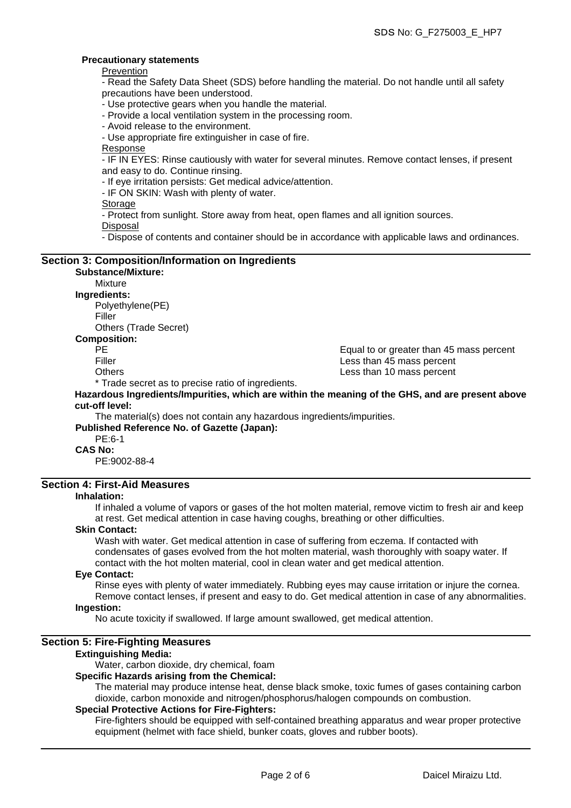## **Precautionary statements**

**Prevention** 

- Read the Safety Data Sheet (SDS) before handling the material. Do not handle until all safety precautions have been understood.

- Use protective gears when you handle the material.

- Provide a local ventilation system in the processing room.
- Avoid release to the environment.

- Use appropriate fire extinguisher in case of fire.

Response

- IF IN EYES: Rinse cautiously with water for several minutes. Remove contact lenses, if present and easy to do. Continue rinsing.

- If eye irritation persists: Get medical advice/attention.

- IF ON SKIN: Wash with plenty of water.

**Storage** 

- Protect from sunlight. Store away from heat, open flames and all ignition sources.

Disposal

- Dispose of contents and container should be in accordance with applicable laws and ordinances.

## **Section 3: Composition/Information on Ingredients**

#### **Substance/Mixture:** Mixture

**Ingredients:**

Polyethylene(PE)

Filler

Others (Trade Secret)

**Composition:**

## **PE** Equal to or greater than 45 mass percent

Filler **Example 20** Filler **Less than 45 mass percent** Others Less than 10 mass percent

\* Trade secret as to precise ratio of ingredients.

**Hazardous Ingredients/Impurities, which are within the meaning of the GHS, and are present above cut-off level:**

The material(s) does not contain any hazardous ingredients/impurities.

#### **Published Reference No. of Gazette (Japan):**

PE:6-1

**CAS No:**

PE:9002-88-4

## **Section 4: First-Aid Measures**

#### **Inhalation:**

If inhaled a volume of vapors or gases of the hot molten material, remove victim to fresh air and keep at rest. Get medical attention in case having coughs, breathing or other difficulties.

#### **Skin Contact:**

Wash with water. Get medical attention in case of suffering from eczema. If contacted with condensates of gases evolved from the hot molten material, wash thoroughly with soapy water. If contact with the hot molten material, cool in clean water and get medical attention.

#### **Eye Contact:**

Rinse eyes with plenty of water immediately. Rubbing eyes may cause irritation or injure the cornea. Remove contact lenses, if present and easy to do. Get medical attention in case of any abnormalities.

## **Ingestion:**

No acute toxicity if swallowed. If large amount swallowed, get medical attention.

## **Section 5: Fire-Fighting Measures**

#### **Extinguishing Media:**

Water, carbon dioxide, dry chemical, foam

#### **Specific Hazards arising from the Chemical:**

The material may produce intense heat, dense black smoke, toxic fumes of gases containing carbon dioxide, carbon monoxide and nitrogen/phosphorus/halogen compounds on combustion.

## **Special Protective Actions for Fire-Fighters:**

Fire-fighters should be equipped with self-contained breathing apparatus and wear proper protective equipment (helmet with face shield, bunker coats, gloves and rubber boots).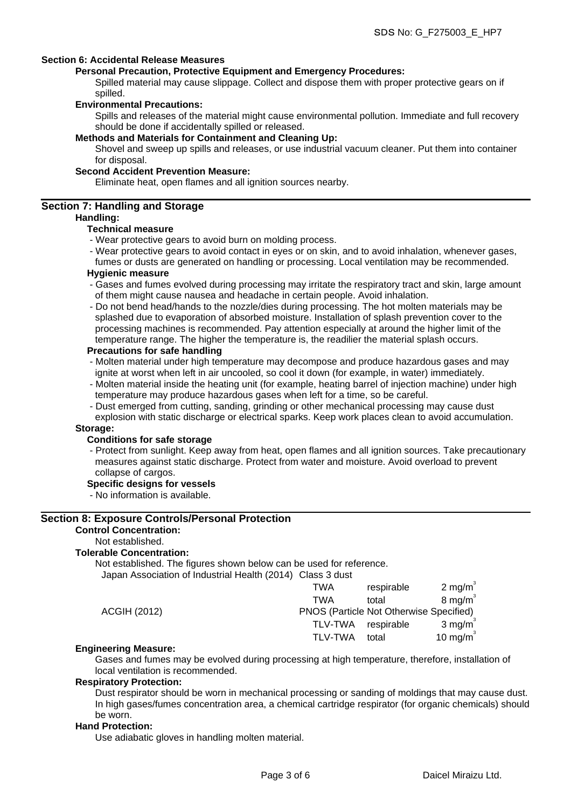#### **Section 6: Accidental Release Measures**

## **Personal Precaution, Protective Equipment and Emergency Procedures:**

Spilled material may cause slippage. Collect and dispose them with proper protective gears on if spilled.

#### **Environmental Precautions:**

Spills and releases of the material might cause environmental pollution. Immediate and full recovery should be done if accidentally spilled or released.

## **Methods and Materials for Containment and Cleaning Up:**

Shovel and sweep up spills and releases, or use industrial vacuum cleaner. Put them into container for disposal.

#### **Second Accident Prevention Measure:**

Eliminate heat, open flames and all ignition sources nearby.

## **Section 7: Handling and Storage**

#### **Handling:**

#### **Technical measure**

- Wear protective gears to avoid burn on molding process.
- Wear protective gears to avoid contact in eyes or on skin, and to avoid inhalation, whenever gases, fumes or dusts are generated on handling or processing. Local ventilation may be recommended.

## **Hygienic measure**

- Gases and fumes evolved during processing may irritate the respiratory tract and skin, large amount of them might cause nausea and headache in certain people. Avoid inhalation.
- Do not bend head/hands to the nozzle/dies during processing. The hot molten materials may be splashed due to evaporation of absorbed moisture. Installation of splash prevention cover to the processing machines is recommended. Pay attention especially at around the higher limit of the temperature range. The higher the temperature is, the readilier the material splash occurs.

#### **Precautions for safe handling**

- Molten material under high temperature may decompose and produce hazardous gases and may ignite at worst when left in air uncooled, so cool it down (for example, in water) immediately.
- Molten material inside the heating unit (for example, heating barrel of injection machine) under high temperature may produce hazardous gases when left for a time, so be careful.
- Dust emerged from cutting, sanding, grinding or other mechanical processing may cause dust explosion with static discharge or electrical sparks. Keep work places clean to avoid accumulation.

#### **Storage:**

#### **Conditions for safe storage**

- Protect from sunlight. Keep away from heat, open flames and all ignition sources. Take precautionary measures against static discharge. Protect from water and moisture. Avoid overload to prevent collapse of cargos.

### **Specific designs for vessels**

- No information is available.

#### **Section 8: Exposure Controls/Personal Protection**

#### **Control Concentration:**

Not established.

#### **Tolerable Concentration:**

Not established. The figures shown below can be used for reference. Japan Association of Industrial Health (2014) Class 3 dust

|                     | TWA | respirable                              | 2 mg/m <sup>3</sup> |
|---------------------|-----|-----------------------------------------|---------------------|
|                     | TWA | total                                   | $8 \text{ mg/m}^3$  |
| <b>ACGIH (2012)</b> |     | PNOS (Particle Not Otherwise Specified) |                     |
|                     |     | <b>TLV-TWA</b><br>respirable            | $3 \text{ mg/m}^3$  |
|                     |     | <b>TLV-TWA</b><br>total                 | 10 mg/m $3$         |

#### **Engineering Measure:**

Gases and fumes may be evolved during processing at high temperature, therefore, installation of local ventilation is recommended.

### **Respiratory Protection:**

Dust respirator should be worn in mechanical processing or sanding of moldings that may cause dust. In high gases/fumes concentration area, a chemical cartridge respirator (for organic chemicals) should be worn.

#### **Hand Protection:**

Use adiabatic gloves in handling molten material.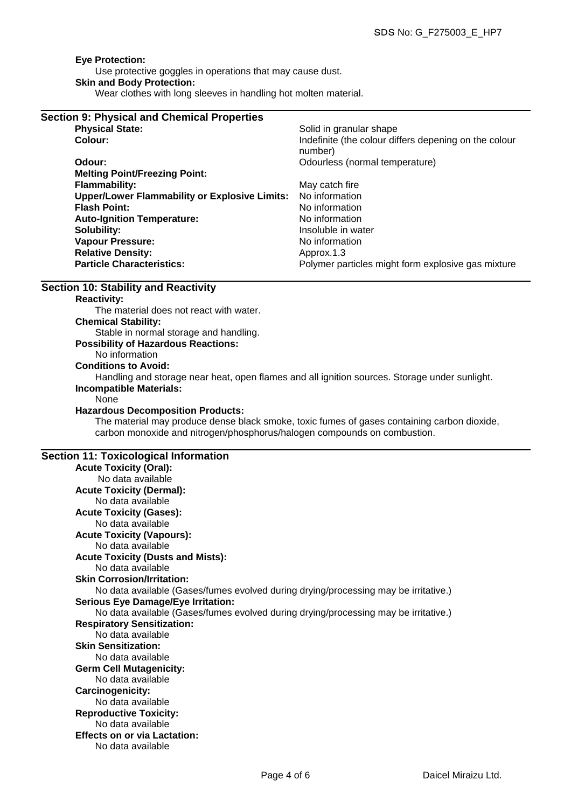#### **Eye Protection:**

Use protective goggles in operations that may cause dust. **Skin and Body Protection:**

Wear clothes with long sleeves in handling hot molten material.

| <b>Section 9: Physical and Chemical Properties</b>   |                                                                  |
|------------------------------------------------------|------------------------------------------------------------------|
| <b>Physical State:</b>                               | Solid in granular shape                                          |
| Colour:                                              | Indefinite (the colour differs depening on the colour<br>number) |
| Odour:                                               | Odourless (normal temperature)                                   |
| <b>Melting Point/Freezing Point:</b>                 |                                                                  |
| <b>Flammability:</b>                                 | May catch fire                                                   |
| <b>Upper/Lower Flammability or Explosive Limits:</b> | No information                                                   |
| <b>Flash Point:</b>                                  | No information                                                   |
| <b>Auto-Ignition Temperature:</b>                    | No information                                                   |
| Solubility:                                          | Insoluble in water                                               |
| <b>Vapour Pressure:</b>                              | No information                                                   |
| <b>Relative Density:</b>                             | Approx.1.3                                                       |
| <b>Particle Characteristics:</b>                     | Polymer particles might form explosive gas mixture               |

### **Section 10: Stability and Reactivity**

## **Reactivity:**

The material does not react with water.

## **Chemical Stability:**

Stable in normal storage and handling.

## **Possibility of Hazardous Reactions:**

No information

**Conditions to Avoid:**

Handling and storage near heat, open flames and all ignition sources. Storage under sunlight. **Incompatible Materials:**

#### None

#### **Hazardous Decomposition Products:**

The material may produce dense black smoke, toxic fumes of gases containing carbon dioxide, carbon monoxide and nitrogen/phosphorus/halogen compounds on combustion.

## **Section 11: Toxicological Information**

**Acute Toxicity (Oral):** No data available **Acute Toxicity (Dermal):** No data available **Acute Toxicity (Gases):** No data available **Acute Toxicity (Vapours):** No data available **Acute Toxicity (Dusts and Mists):** No data available **Skin Corrosion/Irritation:** No data available (Gases/fumes evolved during drying/processing may be irritative.) **Serious Eye Damage/Eye Irritation:** No data available (Gases/fumes evolved during drying/processing may be irritative.) **Respiratory Sensitization:** No data available **Skin Sensitization:** No data available **Germ Cell Mutagenicity:** No data available **Carcinogenicity:** No data available **Reproductive Toxicity:** No data available **Effects on or via Lactation:** No data available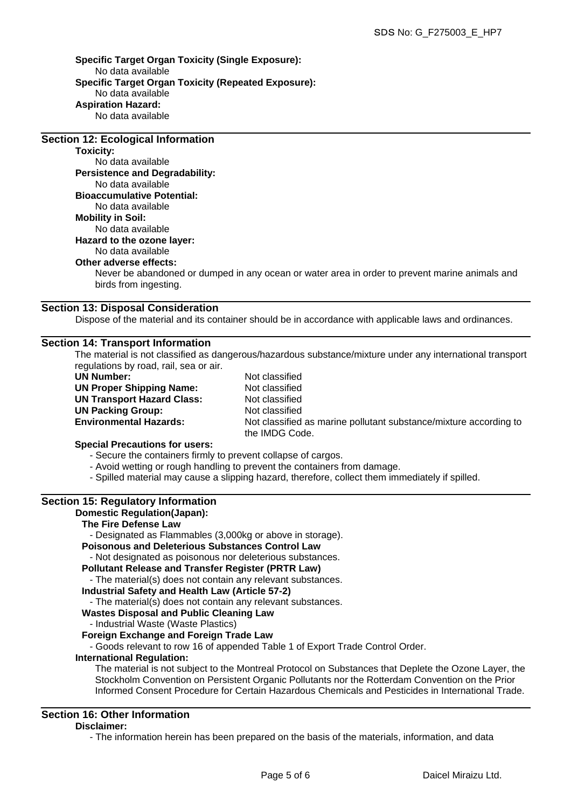**Specific Target Organ Toxicity (Single Exposure):** No data available **Specific Target Organ Toxicity (Repeated Exposure):** No data available **Aspiration Hazard:** No data available

#### **Section 12: Ecological Information**

**Toxicity:**

No data available **Persistence and Degradability:** No data available **Bioaccumulative Potential:** No data available **Mobility in Soil:** No data available **Hazard to the ozone layer:** No data available **Other adverse effects:**

Never be abandoned or dumped in any ocean or water area in order to prevent marine animals and birds from ingesting.

#### **Section 13: Disposal Consideration**

Dispose of the material and its container should be in accordance with applicable laws and ordinances.

## **Section 14: Transport Information**

The material is not classified as dangerous/hazardous substance/mixture under any international transport regulations by road, rail, sea or air.

**UN Number:** Not classified **UN Proper Shipping Name:** Not classified **UN Transport Hazard Class:** Not classified **UN Packing Group:** Not classified

**Environmental Hazards:** Not classified as marine pollutant substance/mixture according to the IMDG Code.

#### **Special Precautions for users:**

- Secure the containers firmly to prevent collapse of cargos.
- Avoid wetting or rough handling to prevent the containers from damage.
- Spilled material may cause a slipping hazard, therefore, collect them immediately if spilled.

#### **Section 15: Regulatory Information**

## **Domestic Regulation(Japan):**

## **The Fire Defense Law**

- Designated as Flammables (3,000kg or above in storage).

## **Poisonous and Deleterious Substances Control Law**

- Not designated as poisonous nor deleterious substances.

## **Pollutant Release and Transfer Register (PRTR Law)**

- The material(s) does not contain any relevant substances.

## **Industrial Safety and Health Law (Article 57-2)**

- The material(s) does not contain any relevant substances.

## **Wastes Disposal and Public Cleaning Law**

- Industrial Waste (Waste Plastics)

## **Foreign Exchange and Foreign Trade Law**

- Goods relevant to row 16 of appended Table 1 of Export Trade Control Order.

## **International Regulation:**

The material is not subject to the Montreal Protocol on Substances that Deplete the Ozone Layer, the Stockholm Convention on Persistent Organic Pollutants nor the Rotterdam Convention on the Prior Informed Consent Procedure for Certain Hazardous Chemicals and Pesticides in International Trade.

## **Section 16: Other Information**

## **Disclaimer:**

- The information herein has been prepared on the basis of the materials, information, and data